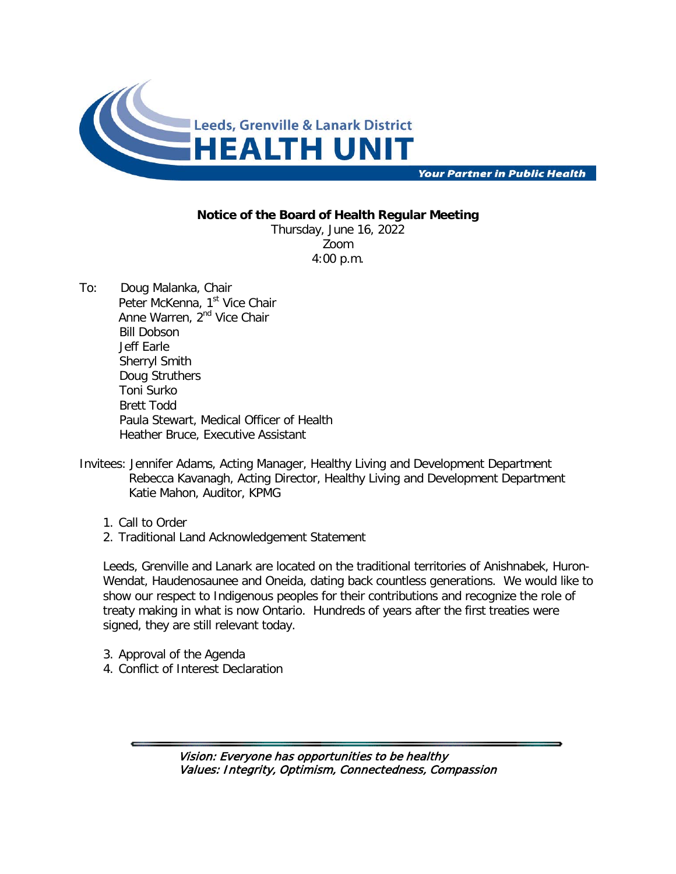

**Your Partner in Public Health** 

## **Notice of the Board of Health Regular Meeting**

Thursday, June 16, 2022 Zoom 4:00 p.m.

- To: Doug Malanka, Chair Peter McKenna, 1<sup>st</sup> Vice Chair Anne Warren, 2<sup>nd</sup> Vice Chair Bill Dobson Jeff Earle Sherryl Smith Doug Struthers Toni Surko Brett Todd Paula Stewart, Medical Officer of Health Heather Bruce, Executive Assistant
- Invitees: Jennifer Adams, Acting Manager, Healthy Living and Development Department Rebecca Kavanagh, Acting Director, Healthy Living and Development Department Katie Mahon, Auditor, KPMG
	- 1. Call to Order
	- 2. Traditional Land Acknowledgement Statement

Leeds, Grenville and Lanark are located on the traditional territories of Anishnabek, Huron-Wendat, Haudenosaunee and Oneida, dating back countless generations. We would like to show our respect to Indigenous peoples for their contributions and recognize the role of treaty making in what is now Ontario. Hundreds of years after the first treaties were signed, they are still relevant today.

- 3. Approval of the Agenda
- 4. Conflict of Interest Declaration

Vision: Everyone has opportunities to be healthy Values: Integrity, Optimism, Connectedness, Compassion